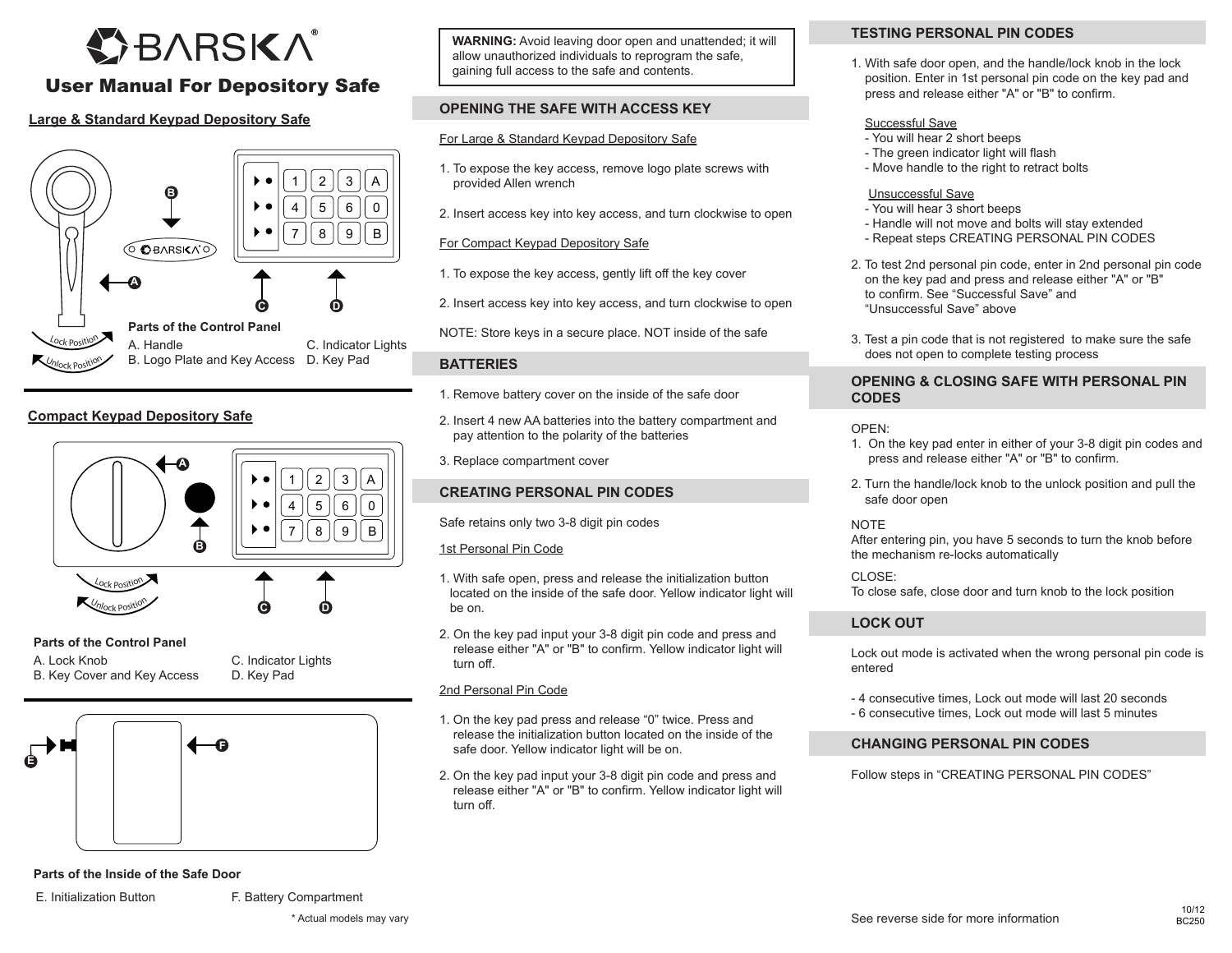# **OBARSKA**

## User Manual For Depository Safe

#### **Large & Standard Keypad Depository Safe**



#### **Compact Keypad Depository Safe**



#### **Parts of the Control Panel**

A. Lock Knob B. Key Cover and Key Access C. Indicator Lights D. Key Pad



**Parts of the Inside of the Safe Door**

E. Initialization Button F. Battery Compartment

**WARNING:** Avoid leaving door open and unattended; it will allow unauthorized individuals to reprogram the safe, gaining full access to the safe and contents.

#### **OPENING THE SAFE WITH ACCESS KEY**

#### For Large & Standard Keypad Depository Safe

- 1. To expose the key access, remove logo plate screws with provided Allen wrench
- 2. Insert access key into key access, and turn clockwise to open

#### For Compact Keypad Depository Safe

- 1. To expose the key access, gently lift off the key cover
- 2. Insert access key into key access, and turn clockwise to open
- NOTE: Store keys in a secure place. NOT inside of the safe

#### **BATTERIES**

- 1. Remove battery cover on the inside of the safe door
- 2. Insert 4 new AA batteries into the battery compartment and pay attention to the polarity of the batteries
- 3. Replace compartment cover

#### **CREATING PERSONAL PIN CODES**

Safe retains only two 3-8 digit pin codes

#### 1st Personal Pin Code

- 1. With safe open, press and release the initialization button located on the inside of the safe door. Yellow indicator light will be on.
- 2. On the key pad input your 3-8 digit pin code and press and release either "A" or "B" to confirm. Yellow indicator light will turn off.

#### 2nd Personal Pin Code

- 1. On the key pad press and release "0" twice. Press and release the initialization button located on the inside of the safe door. Yellow indicator light will be on.
- 2. On the key pad input your 3-8 digit pin code and press and release either "A" or "B" to confirm. Yellow indicator light will turn off.

#### **TESTING PERSONAL PIN CODES**

1. With safe door open, and the handle/lock knob in the lock position. Enter in 1st personal pin code on the key pad and press and release either "A" or "B" to confirm.

#### Successful Save

- You will hear 2 short beeps
- The green indicator light will flash
- Move handle to the right to retract bolts

#### Unsuccessful Save

- You will hear 3 short beeps
- Handle will not move and bolts will stay extended
- Repeat steps CREATING PERSONAL PIN CODES
- 2. To test 2nd personal pin code, enter in 2nd personal pin code on the key pad and press and release either "A" or "B" to confirm. See "Successful Save" and "Unsuccessful Save" above
- 3. Test a pin code that is not registered to make sure the safe does not open to complete testing process

#### **OPENING & CLOSING SAFE WITH PERSONAL PIN CODES**

OPEN:

- 1. On the key pad enter in either of your 3-8 digit pin codes and press and release either "A" or "B" to confirm.
- 2. Turn the handle/lock knob to the unlock position and pull the safe door open

NOTE

After entering pin, you have 5 seconds to turn the knob before the mechanism re-locks automatically

#### CLOSE:

To close safe, close door and turn knob to the lock position

#### **LOCK OUT**

Lock out mode is activated when the wrong personal pin code is entered

- 4 consecutive times, Lock out mode will last 20 seconds
- 6 consecutive times, Lock out mode will last 5 minutes

#### **CHANGING PERSONAL PIN CODES**

Follow steps in "CREATING PERSONAL PIN CODES"